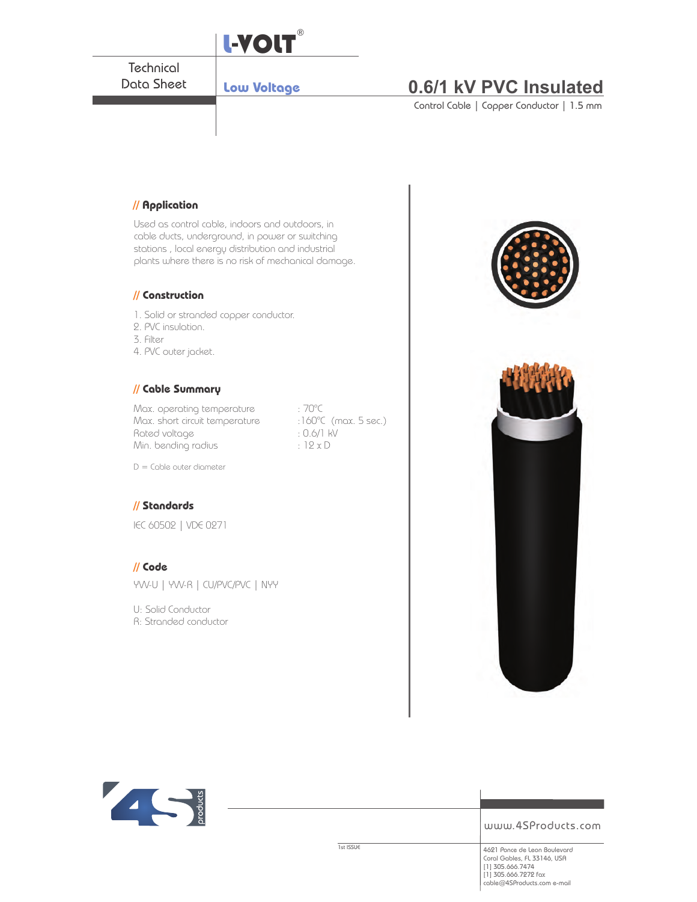



www.4SProducts.com